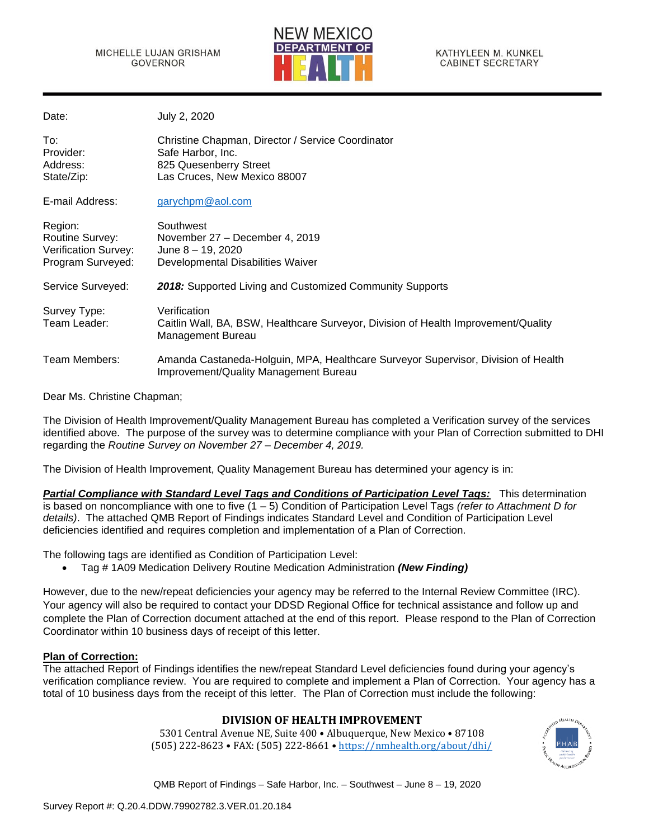

| Date:                                                                   | July 2, 2020                                                                                                                     |
|-------------------------------------------------------------------------|----------------------------------------------------------------------------------------------------------------------------------|
| To:<br>Provider:<br>Address:<br>State/Zip:                              | Christine Chapman, Director / Service Coordinator<br>Safe Harbor, Inc.<br>825 Quesenberry Street<br>Las Cruces, New Mexico 88007 |
| E-mail Address:                                                         | garychpm@aol.com                                                                                                                 |
| Region:<br>Routine Survey:<br>Verification Survey:<br>Program Surveyed: | Southwest<br>November 27 - December 4, 2019<br>June 8 - 19, 2020<br>Developmental Disabilities Waiver                            |
| Service Surveyed:                                                       | 2018: Supported Living and Customized Community Supports                                                                         |
| Survey Type:<br>Team Leader:                                            | Verification<br>Caitlin Wall, BA, BSW, Healthcare Surveyor, Division of Health Improvement/Quality<br>Management Bureau          |
| Team Members:                                                           | Amanda Castaneda-Holguin, MPA, Healthcare Surveyor Supervisor, Division of Health<br>Improvement/Quality Management Bureau       |

Dear Ms. Christine Chapman;

The Division of Health Improvement/Quality Management Bureau has completed a Verification survey of the services identified above. The purpose of the survey was to determine compliance with your Plan of Correction submitted to DHI regarding the *Routine Survey on November 27 – December 4, 2019.*

The Division of Health Improvement, Quality Management Bureau has determined your agency is in:

*Partial Compliance with Standard Level Tags and Conditions of Participation Level Tags:* This determination is based on noncompliance with one to five (1 – 5) Condition of Participation Level Tags *(refer to Attachment D for details)*. The attached QMB Report of Findings indicates Standard Level and Condition of Participation Level deficiencies identified and requires completion and implementation of a Plan of Correction.

The following tags are identified as Condition of Participation Level:

• Tag # 1A09 Medication Delivery Routine Medication Administration *(New Finding)*

However, due to the new/repeat deficiencies your agency may be referred to the Internal Review Committee (IRC). Your agency will also be required to contact your DDSD Regional Office for technical assistance and follow up and complete the Plan of Correction document attached at the end of this report. Please respond to the Plan of Correction Coordinator within 10 business days of receipt of this letter.

## **Plan of Correction:**

The attached Report of Findings identifies the new/repeat Standard Level deficiencies found during your agency's verification compliance review. You are required to complete and implement a Plan of Correction. Your agency has a total of 10 business days from the receipt of this letter. The Plan of Correction must include the following:

## **DIVISION OF HEALTH IMPROVEMENT**

5301 Central Avenue NE, Suite 400 • Albuquerque, New Mexico • 87108 (505) 222-8623 • FAX: (505) 222-8661 • <https://nmhealth.org/about/dhi/>

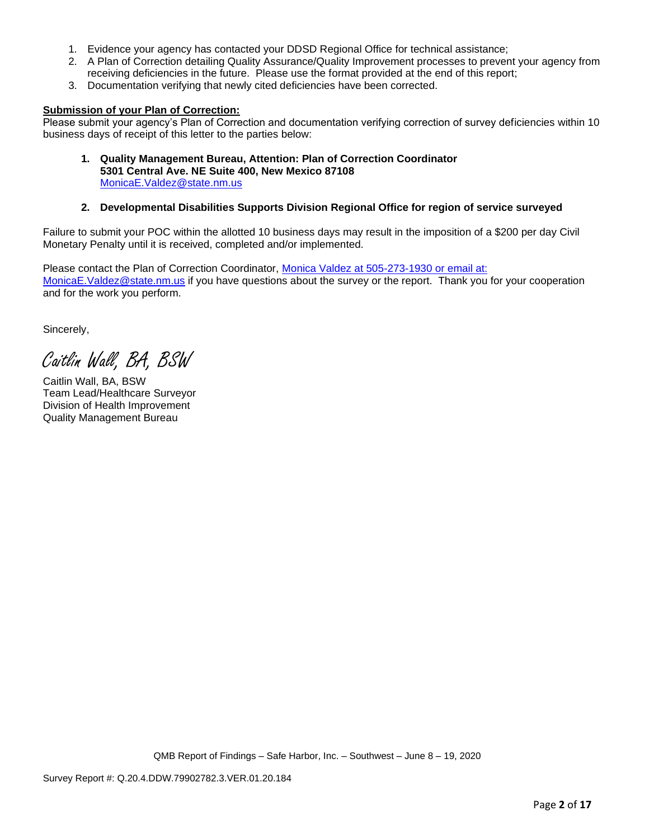- 1. Evidence your agency has contacted your DDSD Regional Office for technical assistance;
- 2. A Plan of Correction detailing Quality Assurance/Quality Improvement processes to prevent your agency from receiving deficiencies in the future. Please use the format provided at the end of this report;
- 3. Documentation verifying that newly cited deficiencies have been corrected.

#### **Submission of your Plan of Correction:**

Please submit your agency's Plan of Correction and documentation verifying correction of survey deficiencies within 10 business days of receipt of this letter to the parties below:

**1. Quality Management Bureau, Attention: Plan of Correction Coordinator 5301 Central Ave. NE Suite 400, New Mexico 87108** [MonicaE.Valdez@state.nm.us](mailto:MonicaE.Valdez@state.nm.us)

#### **2. Developmental Disabilities Supports Division Regional Office for region of service surveyed**

Failure to submit your POC within the allotted 10 business days may result in the imposition of a \$200 per day Civil Monetary Penalty until it is received, completed and/or implemented.

Please contact the Plan of Correction Coordinator, Monica Valdez at 505-273-1930 or email at: [MonicaE.Valdez@state.nm.us](mailto:MonicaE.Valdez@state.nm.us) if you have questions about the survey or the report. Thank you for your cooperation and for the work you perform.

Sincerely,

Caitlin Wall, BA, BSW

Caitlin Wall, BA, BSW Team Lead/Healthcare Surveyor Division of Health Improvement Quality Management Bureau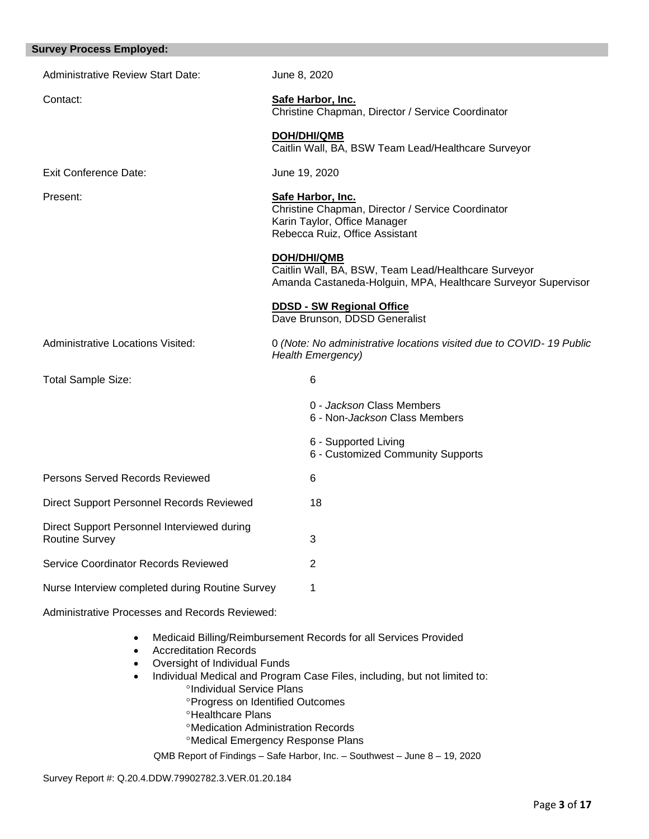| <b>Survey Process Employed:</b>                                                         |                                                                                                                                          |  |  |
|-----------------------------------------------------------------------------------------|------------------------------------------------------------------------------------------------------------------------------------------|--|--|
| <b>Administrative Review Start Date:</b>                                                | June 8, 2020                                                                                                                             |  |  |
| Contact:                                                                                | Safe Harbor, Inc.<br>Christine Chapman, Director / Service Coordinator                                                                   |  |  |
|                                                                                         | <b>DOH/DHI/QMB</b><br>Caitlin Wall, BA, BSW Team Lead/Healthcare Surveyor                                                                |  |  |
| <b>Exit Conference Date:</b>                                                            | June 19, 2020                                                                                                                            |  |  |
| Present:                                                                                | Safe Harbor, Inc.<br>Christine Chapman, Director / Service Coordinator<br>Karin Taylor, Office Manager<br>Rebecca Ruiz, Office Assistant |  |  |
|                                                                                         | DOH/DHI/QMB<br>Caitlin Wall, BA, BSW, Team Lead/Healthcare Surveyor<br>Amanda Castaneda-Holguin, MPA, Healthcare Surveyor Supervisor     |  |  |
|                                                                                         | <b>DDSD - SW Regional Office</b><br>Dave Brunson, DDSD Generalist                                                                        |  |  |
| <b>Administrative Locations Visited:</b>                                                | 0 (Note: No administrative locations visited due to COVID-19 Public<br><b>Health Emergency)</b>                                          |  |  |
| Total Sample Size:                                                                      | 6                                                                                                                                        |  |  |
|                                                                                         | 0 - Jackson Class Members<br>6 - Non-Jackson Class Members                                                                               |  |  |
|                                                                                         | 6 - Supported Living<br>6 - Customized Community Supports                                                                                |  |  |
| Persons Served Records Reviewed                                                         | 6                                                                                                                                        |  |  |
| <b>Direct Support Personnel Records Reviewed</b>                                        | 18                                                                                                                                       |  |  |
| Direct Support Personnel Interviewed during<br><b>Routine Survey</b>                    | 3                                                                                                                                        |  |  |
| Service Coordinator Records Reviewed                                                    | $\overline{2}$                                                                                                                           |  |  |
| Nurse Interview completed during Routine Survey                                         | 1                                                                                                                                        |  |  |
| Administrative Processes and Records Reviewed:                                          |                                                                                                                                          |  |  |
| $\bullet$<br><b>Accreditation Records</b><br>$\bullet$<br>Oversight of Individual Funds | Medicaid Billing/Reimbursement Records for all Services Provided                                                                         |  |  |

- Individual Medical and Program Case Files, including, but not limited to: <sup>o</sup>Individual Service Plans
	- Progress on Identified Outcomes
	- **<sup>o</sup>Healthcare Plans**
	- Medication Administration Records
	- Medical Emergency Response Plans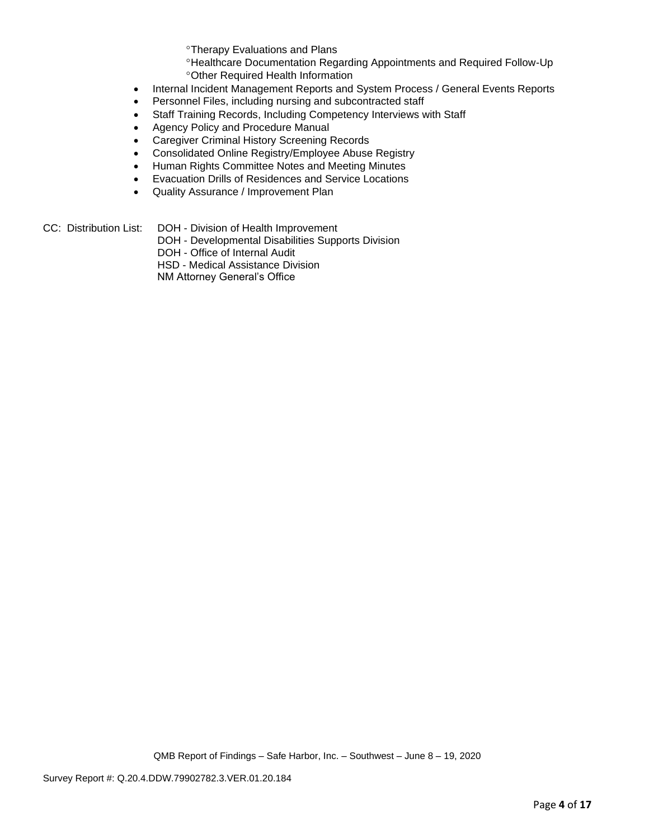Therapy Evaluations and Plans

Healthcare Documentation Regarding Appointments and Required Follow-Up Other Required Health Information

- Internal Incident Management Reports and System Process / General Events Reports
- Personnel Files, including nursing and subcontracted staff
- Staff Training Records, Including Competency Interviews with Staff
- Agency Policy and Procedure Manual
- Caregiver Criminal History Screening Records
- Consolidated Online Registry/Employee Abuse Registry
- Human Rights Committee Notes and Meeting Minutes
- Evacuation Drills of Residences and Service Locations
- Quality Assurance / Improvement Plan
- CC: Distribution List: DOH Division of Health Improvement
	- DOH Developmental Disabilities Supports Division
		- DOH Office of Internal Audit

HSD - Medical Assistance Division

NM Attorney General's Office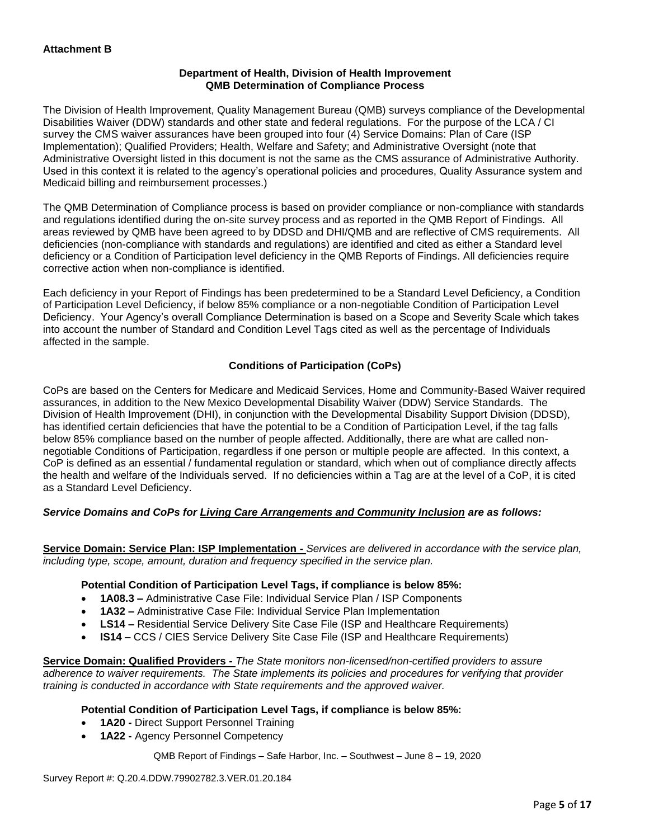## **Department of Health, Division of Health Improvement QMB Determination of Compliance Process**

The Division of Health Improvement, Quality Management Bureau (QMB) surveys compliance of the Developmental Disabilities Waiver (DDW) standards and other state and federal regulations. For the purpose of the LCA / CI survey the CMS waiver assurances have been grouped into four (4) Service Domains: Plan of Care (ISP Implementation); Qualified Providers; Health, Welfare and Safety; and Administrative Oversight (note that Administrative Oversight listed in this document is not the same as the CMS assurance of Administrative Authority. Used in this context it is related to the agency's operational policies and procedures, Quality Assurance system and Medicaid billing and reimbursement processes.)

The QMB Determination of Compliance process is based on provider compliance or non-compliance with standards and regulations identified during the on-site survey process and as reported in the QMB Report of Findings. All areas reviewed by QMB have been agreed to by DDSD and DHI/QMB and are reflective of CMS requirements. All deficiencies (non-compliance with standards and regulations) are identified and cited as either a Standard level deficiency or a Condition of Participation level deficiency in the QMB Reports of Findings. All deficiencies require corrective action when non-compliance is identified.

Each deficiency in your Report of Findings has been predetermined to be a Standard Level Deficiency, a Condition of Participation Level Deficiency, if below 85% compliance or a non-negotiable Condition of Participation Level Deficiency. Your Agency's overall Compliance Determination is based on a Scope and Severity Scale which takes into account the number of Standard and Condition Level Tags cited as well as the percentage of Individuals affected in the sample.

## **Conditions of Participation (CoPs)**

CoPs are based on the Centers for Medicare and Medicaid Services, Home and Community-Based Waiver required assurances, in addition to the New Mexico Developmental Disability Waiver (DDW) Service Standards. The Division of Health Improvement (DHI), in conjunction with the Developmental Disability Support Division (DDSD), has identified certain deficiencies that have the potential to be a Condition of Participation Level, if the tag falls below 85% compliance based on the number of people affected. Additionally, there are what are called nonnegotiable Conditions of Participation, regardless if one person or multiple people are affected. In this context, a CoP is defined as an essential / fundamental regulation or standard, which when out of compliance directly affects the health and welfare of the Individuals served. If no deficiencies within a Tag are at the level of a CoP, it is cited as a Standard Level Deficiency.

## *Service Domains and CoPs for Living Care Arrangements and Community Inclusion are as follows:*

**Service Domain: Service Plan: ISP Implementation -** *Services are delivered in accordance with the service plan, including type, scope, amount, duration and frequency specified in the service plan.*

#### **Potential Condition of Participation Level Tags, if compliance is below 85%:**

- **1A08.3 –** Administrative Case File: Individual Service Plan / ISP Components
- **1A32 –** Administrative Case File: Individual Service Plan Implementation
- **LS14 –** Residential Service Delivery Site Case File (ISP and Healthcare Requirements)
- **IS14 –** CCS / CIES Service Delivery Site Case File (ISP and Healthcare Requirements)

**Service Domain: Qualified Providers -** *The State monitors non-licensed/non-certified providers to assure adherence to waiver requirements. The State implements its policies and procedures for verifying that provider training is conducted in accordance with State requirements and the approved waiver.*

#### **Potential Condition of Participation Level Tags, if compliance is below 85%:**

- **1A20 -** Direct Support Personnel Training
- **1A22 -** Agency Personnel Competency

QMB Report of Findings – Safe Harbor, Inc. – Southwest – June 8 – 19, 2020

Survey Report #: Q.20.4.DDW.79902782.3.VER.01.20.184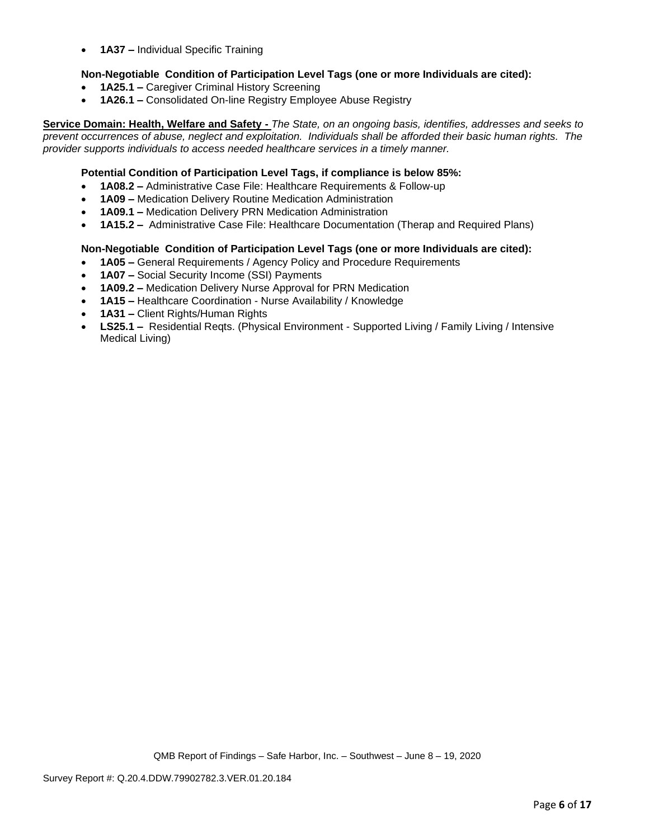• **1A37 –** Individual Specific Training

## **Non-Negotiable Condition of Participation Level Tags (one or more Individuals are cited):**

- **1A25.1 –** Caregiver Criminal History Screening
- **1A26.1 –** Consolidated On-line Registry Employee Abuse Registry

**Service Domain: Health, Welfare and Safety -** *The State, on an ongoing basis, identifies, addresses and seeks to prevent occurrences of abuse, neglect and exploitation. Individuals shall be afforded their basic human rights. The provider supports individuals to access needed healthcare services in a timely manner.*

#### **Potential Condition of Participation Level Tags, if compliance is below 85%:**

- **1A08.2 –** Administrative Case File: Healthcare Requirements & Follow-up
- **1A09 –** Medication Delivery Routine Medication Administration
- **1A09.1 –** Medication Delivery PRN Medication Administration
- **1A15.2 –** Administrative Case File: Healthcare Documentation (Therap and Required Plans)

#### **Non-Negotiable Condition of Participation Level Tags (one or more Individuals are cited):**

- **1A05 –** General Requirements / Agency Policy and Procedure Requirements
- **1A07 –** Social Security Income (SSI) Payments
- **1A09.2 –** Medication Delivery Nurse Approval for PRN Medication
- **1A15 –** Healthcare Coordination Nurse Availability / Knowledge
- **1A31 –** Client Rights/Human Rights
- **LS25.1 –** Residential Reqts. (Physical Environment Supported Living / Family Living / Intensive Medical Living)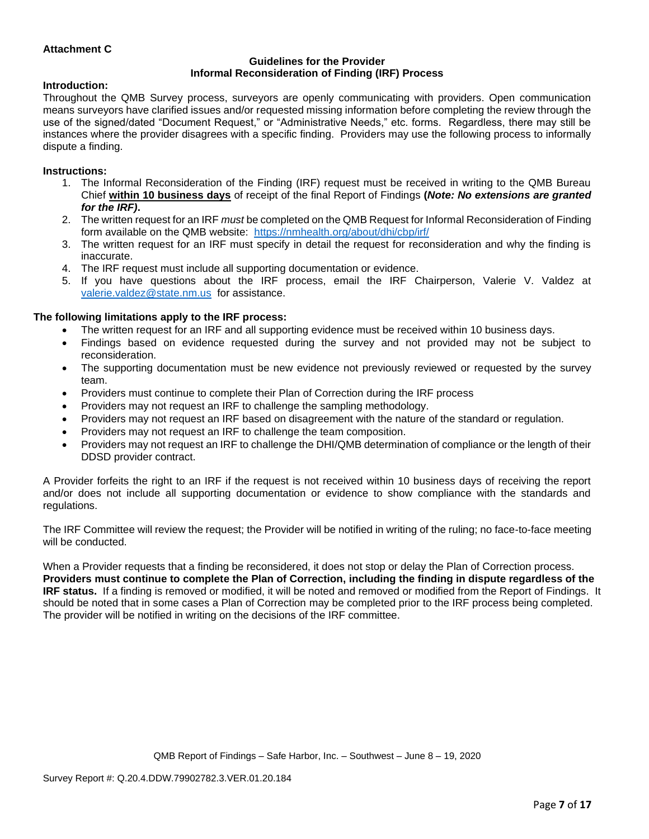## **Attachment C**

#### **Guidelines for the Provider Informal Reconsideration of Finding (IRF) Process**

#### **Introduction:**

Throughout the QMB Survey process, surveyors are openly communicating with providers. Open communication means surveyors have clarified issues and/or requested missing information before completing the review through the use of the signed/dated "Document Request," or "Administrative Needs," etc. forms. Regardless, there may still be instances where the provider disagrees with a specific finding. Providers may use the following process to informally dispute a finding.

#### **Instructions:**

- 1. The Informal Reconsideration of the Finding (IRF) request must be received in writing to the QMB Bureau Chief **within 10 business days** of receipt of the final Report of Findings **(***Note: No extensions are granted for the IRF)***.**
- 2. The written request for an IRF *must* be completed on the QMB Request for Informal Reconsideration of Finding form available on the QMB website: <https://nmhealth.org/about/dhi/cbp/irf/>
- 3. The written request for an IRF must specify in detail the request for reconsideration and why the finding is inaccurate.
- 4. The IRF request must include all supporting documentation or evidence.
- 5. If you have questions about the IRF process, email the IRF Chairperson, Valerie V. Valdez at [valerie.valdez@state.nm.us](mailto:valerie.valdez@state.nm.us) for assistance.

#### **The following limitations apply to the IRF process:**

- The written request for an IRF and all supporting evidence must be received within 10 business days.
- Findings based on evidence requested during the survey and not provided may not be subject to reconsideration.
- The supporting documentation must be new evidence not previously reviewed or requested by the survey team.
- Providers must continue to complete their Plan of Correction during the IRF process
- Providers may not request an IRF to challenge the sampling methodology.
- Providers may not request an IRF based on disagreement with the nature of the standard or regulation.
- Providers may not request an IRF to challenge the team composition.
- Providers may not request an IRF to challenge the DHI/QMB determination of compliance or the length of their DDSD provider contract.

A Provider forfeits the right to an IRF if the request is not received within 10 business days of receiving the report and/or does not include all supporting documentation or evidence to show compliance with the standards and regulations.

The IRF Committee will review the request; the Provider will be notified in writing of the ruling; no face-to-face meeting will be conducted.

When a Provider requests that a finding be reconsidered, it does not stop or delay the Plan of Correction process. **Providers must continue to complete the Plan of Correction, including the finding in dispute regardless of the IRF status.** If a finding is removed or modified, it will be noted and removed or modified from the Report of Findings. It should be noted that in some cases a Plan of Correction may be completed prior to the IRF process being completed. The provider will be notified in writing on the decisions of the IRF committee.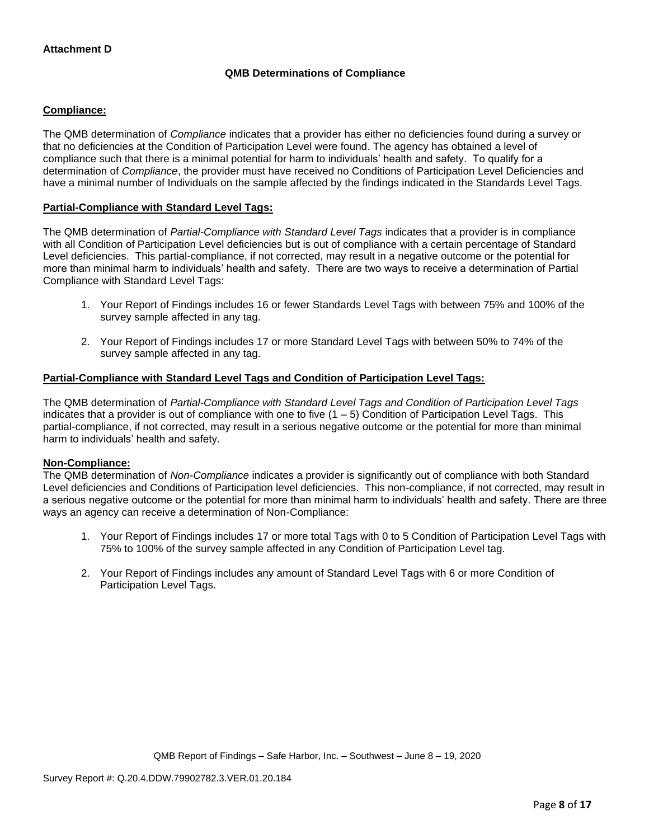## **QMB Determinations of Compliance**

## **Compliance:**

The QMB determination of *Compliance* indicates that a provider has either no deficiencies found during a survey or that no deficiencies at the Condition of Participation Level were found. The agency has obtained a level of compliance such that there is a minimal potential for harm to individuals' health and safety. To qualify for a determination of *Compliance*, the provider must have received no Conditions of Participation Level Deficiencies and have a minimal number of Individuals on the sample affected by the findings indicated in the Standards Level Tags.

## **Partial-Compliance with Standard Level Tags:**

The QMB determination of *Partial-Compliance with Standard Level Tags* indicates that a provider is in compliance with all Condition of Participation Level deficiencies but is out of compliance with a certain percentage of Standard Level deficiencies. This partial-compliance, if not corrected, may result in a negative outcome or the potential for more than minimal harm to individuals' health and safety. There are two ways to receive a determination of Partial Compliance with Standard Level Tags:

- 1. Your Report of Findings includes 16 or fewer Standards Level Tags with between 75% and 100% of the survey sample affected in any tag.
- 2. Your Report of Findings includes 17 or more Standard Level Tags with between 50% to 74% of the survey sample affected in any tag.

## **Partial-Compliance with Standard Level Tags and Condition of Participation Level Tags:**

The QMB determination of *Partial-Compliance with Standard Level Tags and Condition of Participation Level Tags*  indicates that a provider is out of compliance with one to five  $(1 - 5)$  Condition of Participation Level Tags. This partial-compliance, if not corrected, may result in a serious negative outcome or the potential for more than minimal harm to individuals' health and safety.

#### **Non-Compliance:**

The QMB determination of *Non-Compliance* indicates a provider is significantly out of compliance with both Standard Level deficiencies and Conditions of Participation level deficiencies. This non-compliance, if not corrected, may result in a serious negative outcome or the potential for more than minimal harm to individuals' health and safety. There are three ways an agency can receive a determination of Non-Compliance:

- 1. Your Report of Findings includes 17 or more total Tags with 0 to 5 Condition of Participation Level Tags with 75% to 100% of the survey sample affected in any Condition of Participation Level tag.
- 2. Your Report of Findings includes any amount of Standard Level Tags with 6 or more Condition of Participation Level Tags.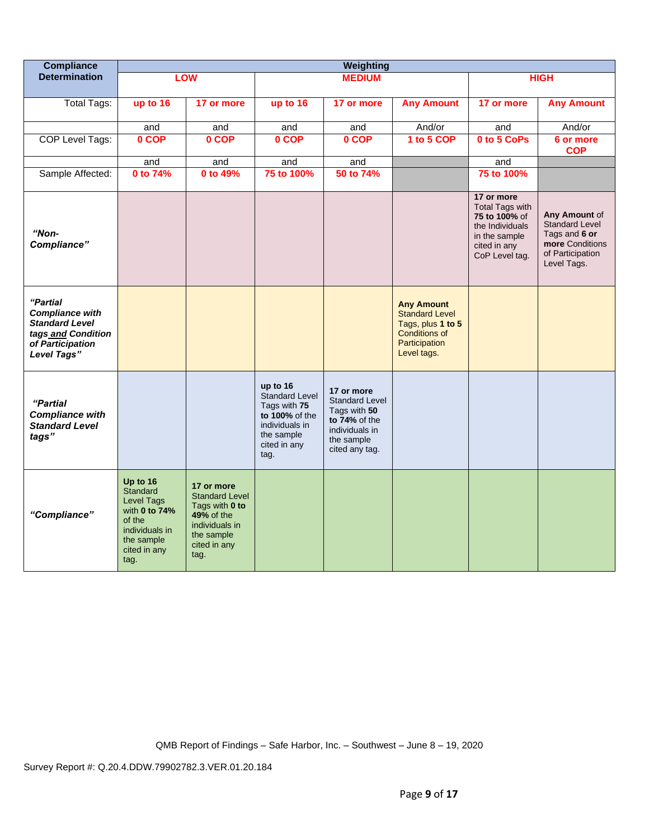| <b>Compliance</b>                                                                                                    | Weighting                                                                                                                    |                                                                                                                             |                                                                                                                             |                                                                                                                        |                                                                                                                         |                                                                                                                             |                                                                                                               |
|----------------------------------------------------------------------------------------------------------------------|------------------------------------------------------------------------------------------------------------------------------|-----------------------------------------------------------------------------------------------------------------------------|-----------------------------------------------------------------------------------------------------------------------------|------------------------------------------------------------------------------------------------------------------------|-------------------------------------------------------------------------------------------------------------------------|-----------------------------------------------------------------------------------------------------------------------------|---------------------------------------------------------------------------------------------------------------|
| <b>Determination</b>                                                                                                 |                                                                                                                              | <b>LOW</b>                                                                                                                  |                                                                                                                             | <b>MEDIUM</b>                                                                                                          |                                                                                                                         |                                                                                                                             | <b>HIGH</b>                                                                                                   |
|                                                                                                                      |                                                                                                                              |                                                                                                                             |                                                                                                                             |                                                                                                                        |                                                                                                                         | 17 or more                                                                                                                  |                                                                                                               |
| <b>Total Tags:</b>                                                                                                   | up to 16                                                                                                                     | 17 or more                                                                                                                  | up to 16                                                                                                                    | 17 or more                                                                                                             | <b>Any Amount</b>                                                                                                       |                                                                                                                             | <b>Any Amount</b>                                                                                             |
|                                                                                                                      | and                                                                                                                          | and                                                                                                                         | and                                                                                                                         | and                                                                                                                    | And/or                                                                                                                  | and                                                                                                                         | And/or                                                                                                        |
| COP Level Tags:                                                                                                      | 0 COP                                                                                                                        | 0 COP                                                                                                                       | 0 COP                                                                                                                       | 0 COP                                                                                                                  | 1 to 5 COP                                                                                                              | 0 to 5 CoPs                                                                                                                 | 6 or more<br><b>COP</b>                                                                                       |
|                                                                                                                      | and                                                                                                                          | and                                                                                                                         | and                                                                                                                         | and                                                                                                                    |                                                                                                                         | and                                                                                                                         |                                                                                                               |
| Sample Affected:                                                                                                     | 0 to 74%                                                                                                                     | 0 to 49%                                                                                                                    | 75 to 100%                                                                                                                  | 50 to 74%                                                                                                              |                                                                                                                         | 75 to 100%                                                                                                                  |                                                                                                               |
| "Non-<br>Compliance"                                                                                                 |                                                                                                                              |                                                                                                                             |                                                                                                                             |                                                                                                                        |                                                                                                                         | 17 or more<br><b>Total Tags with</b><br>75 to 100% of<br>the Individuals<br>in the sample<br>cited in any<br>CoP Level tag. | Any Amount of<br><b>Standard Level</b><br>Tags and 6 or<br>more Conditions<br>of Participation<br>Level Tags. |
| "Partial<br><b>Compliance with</b><br><b>Standard Level</b><br>tags and Condition<br>of Participation<br>Level Tags" |                                                                                                                              |                                                                                                                             |                                                                                                                             |                                                                                                                        | <b>Any Amount</b><br><b>Standard Level</b><br>Tags, plus 1 to 5<br><b>Conditions of</b><br>Participation<br>Level tags. |                                                                                                                             |                                                                                                               |
| "Partial<br><b>Compliance with</b><br><b>Standard Level</b><br>tags"                                                 |                                                                                                                              |                                                                                                                             | up to 16<br><b>Standard Level</b><br>Tags with 75<br>to 100% of the<br>individuals in<br>the sample<br>cited in any<br>tag. | 17 or more<br><b>Standard Level</b><br>Tags with 50<br>to 74% of the<br>individuals in<br>the sample<br>cited any tag. |                                                                                                                         |                                                                                                                             |                                                                                                               |
| "Compliance"                                                                                                         | Up to 16<br><b>Standard</b><br>Level Tags<br>with 0 to 74%<br>of the<br>individuals in<br>the sample<br>cited in any<br>tag. | 17 or more<br><b>Standard Level</b><br>Tags with 0 to<br>49% of the<br>individuals in<br>the sample<br>cited in any<br>tag. |                                                                                                                             |                                                                                                                        |                                                                                                                         |                                                                                                                             |                                                                                                               |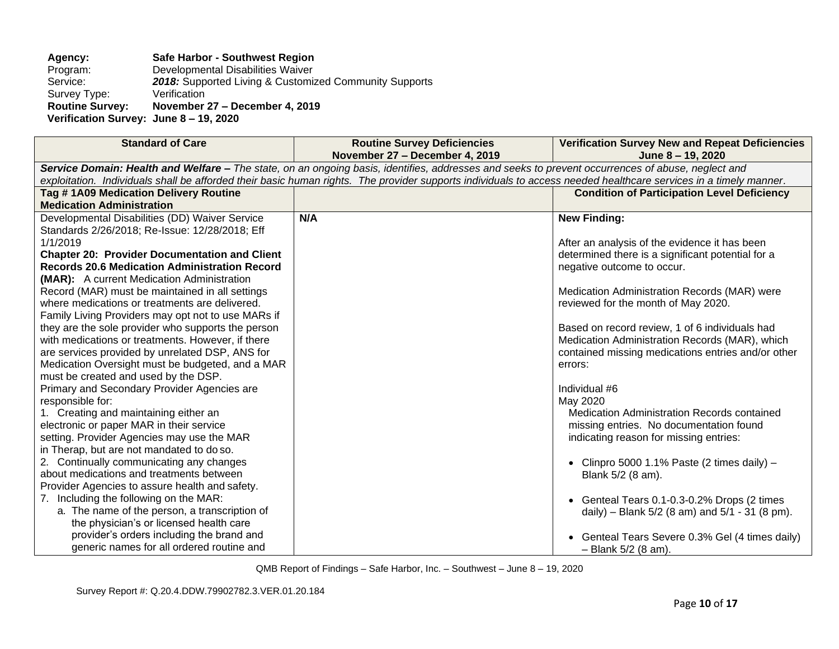# **Agency: Safe Harbor - Southwest Region**

Program: Developmental Disabilities Waiver<br>Service: 2018: Supported Living & Customi: 2018: Supported Living & Customized Community Supports Verification Survey Type:<br>Routine Survey: **Routine Survey: November 27 – December 4, 2019 Verification Survey: June 8 – 19, 2020**

| <b>Standard of Care</b>                                                                                                                                                                                                                                                                                               | <b>Routine Survey Deficiencies</b><br>November 27 - December 4, 2019 | <b>Verification Survey New and Repeat Deficiencies</b><br>June 8 - 19, 2020 |  |
|-----------------------------------------------------------------------------------------------------------------------------------------------------------------------------------------------------------------------------------------------------------------------------------------------------------------------|----------------------------------------------------------------------|-----------------------------------------------------------------------------|--|
|                                                                                                                                                                                                                                                                                                                       |                                                                      |                                                                             |  |
| Service Domain: Health and Welfare - The state, on an ongoing basis, identifies, addresses and seeks to prevent occurrences of abuse, neglect and<br>exploitation. Individuals shall be afforded their basic human rights. The provider supports individuals to access needed healthcare services in a timely manner. |                                                                      |                                                                             |  |
| Tag #1A09 Medication Delivery Routine                                                                                                                                                                                                                                                                                 |                                                                      | <b>Condition of Participation Level Deficiency</b>                          |  |
| <b>Medication Administration</b>                                                                                                                                                                                                                                                                                      |                                                                      |                                                                             |  |
| Developmental Disabilities (DD) Waiver Service                                                                                                                                                                                                                                                                        | N/A                                                                  | <b>New Finding:</b>                                                         |  |
| Standards 2/26/2018; Re-Issue: 12/28/2018; Eff                                                                                                                                                                                                                                                                        |                                                                      |                                                                             |  |
| 1/1/2019                                                                                                                                                                                                                                                                                                              |                                                                      | After an analysis of the evidence it has been                               |  |
| <b>Chapter 20: Provider Documentation and Client</b>                                                                                                                                                                                                                                                                  |                                                                      | determined there is a significant potential for a                           |  |
| <b>Records 20.6 Medication Administration Record</b>                                                                                                                                                                                                                                                                  |                                                                      | negative outcome to occur.                                                  |  |
| (MAR): A current Medication Administration                                                                                                                                                                                                                                                                            |                                                                      |                                                                             |  |
| Record (MAR) must be maintained in all settings                                                                                                                                                                                                                                                                       |                                                                      | Medication Administration Records (MAR) were                                |  |
| where medications or treatments are delivered.                                                                                                                                                                                                                                                                        |                                                                      | reviewed for the month of May 2020.                                         |  |
| Family Living Providers may opt not to use MARs if                                                                                                                                                                                                                                                                    |                                                                      |                                                                             |  |
| they are the sole provider who supports the person                                                                                                                                                                                                                                                                    |                                                                      | Based on record review, 1 of 6 individuals had                              |  |
| with medications or treatments. However, if there                                                                                                                                                                                                                                                                     |                                                                      | Medication Administration Records (MAR), which                              |  |
| are services provided by unrelated DSP, ANS for                                                                                                                                                                                                                                                                       |                                                                      | contained missing medications entries and/or other                          |  |
| Medication Oversight must be budgeted, and a MAR                                                                                                                                                                                                                                                                      |                                                                      | errors:                                                                     |  |
| must be created and used by the DSP.                                                                                                                                                                                                                                                                                  |                                                                      |                                                                             |  |
| Primary and Secondary Provider Agencies are                                                                                                                                                                                                                                                                           |                                                                      | Individual #6                                                               |  |
| responsible for:                                                                                                                                                                                                                                                                                                      |                                                                      | May 2020                                                                    |  |
| 1. Creating and maintaining either an                                                                                                                                                                                                                                                                                 |                                                                      | <b>Medication Administration Records contained</b>                          |  |
| electronic or paper MAR in their service                                                                                                                                                                                                                                                                              |                                                                      | missing entries. No documentation found                                     |  |
| setting. Provider Agencies may use the MAR                                                                                                                                                                                                                                                                            |                                                                      | indicating reason for missing entries:                                      |  |
| in Therap, but are not mandated to do so.                                                                                                                                                                                                                                                                             |                                                                      |                                                                             |  |
| 2. Continually communicating any changes<br>about medications and treatments between                                                                                                                                                                                                                                  |                                                                      | • Clinpro 5000 1.1% Paste (2 times daily) $-$                               |  |
|                                                                                                                                                                                                                                                                                                                       |                                                                      | Blank 5/2 (8 am).                                                           |  |
| Provider Agencies to assure health and safety.                                                                                                                                                                                                                                                                        |                                                                      |                                                                             |  |
| 7. Including the following on the MAR:<br>a. The name of the person, a transcription of                                                                                                                                                                                                                               |                                                                      | • Genteal Tears 0.1-0.3-0.2% Drops (2 times                                 |  |
| the physician's or licensed health care                                                                                                                                                                                                                                                                               |                                                                      | daily) – Blank $5/2$ (8 am) and $5/1$ - 31 (8 pm).                          |  |
| provider's orders including the brand and                                                                                                                                                                                                                                                                             |                                                                      |                                                                             |  |
| generic names for all ordered routine and                                                                                                                                                                                                                                                                             |                                                                      | • Genteal Tears Severe 0.3% Gel (4 times daily)<br>$-$ Blank 5/2 (8 am).    |  |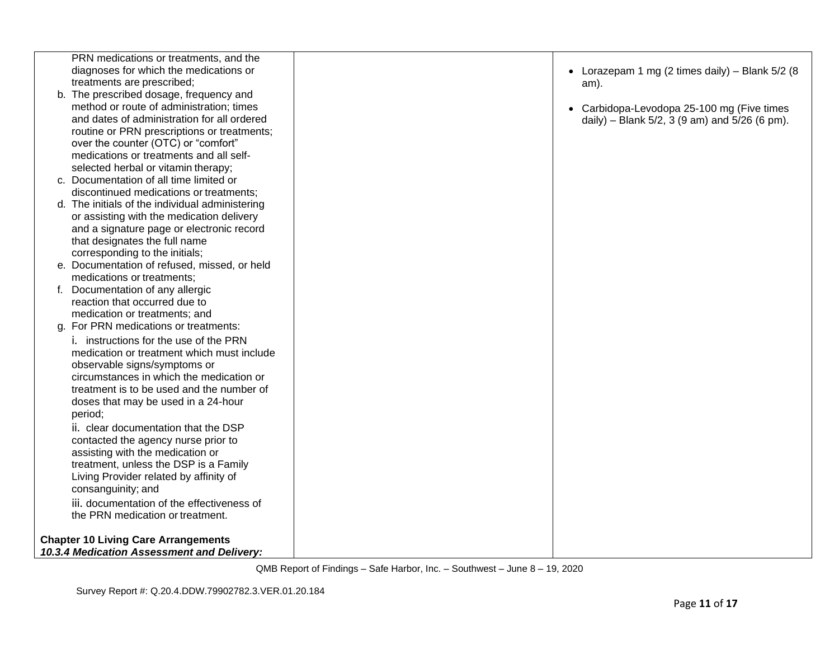| PRN medications or treatments, and the          |                                                   |
|-------------------------------------------------|---------------------------------------------------|
| diagnoses for which the medications or          | • Lorazepam 1 mg (2 times daily) - Blank $5/2$ (8 |
| treatments are prescribed;                      | am).                                              |
| b. The prescribed dosage, frequency and         |                                                   |
| method or route of administration; times        | • Carbidopa-Levodopa 25-100 mg (Five times        |
| and dates of administration for all ordered     | daily) – Blank 5/2, 3 (9 am) and 5/26 (6 pm).     |
| routine or PRN prescriptions or treatments;     |                                                   |
| over the counter (OTC) or "comfort"             |                                                   |
| medications or treatments and all self-         |                                                   |
| selected herbal or vitamin therapy;             |                                                   |
| c. Documentation of all time limited or         |                                                   |
| discontinued medications or treatments;         |                                                   |
| d. The initials of the individual administering |                                                   |
| or assisting with the medication delivery       |                                                   |
| and a signature page or electronic record       |                                                   |
| that designates the full name                   |                                                   |
| corresponding to the initials;                  |                                                   |
| e. Documentation of refused, missed, or held    |                                                   |
| medications or treatments;                      |                                                   |
| f. Documentation of any allergic                |                                                   |
| reaction that occurred due to                   |                                                   |
| medication or treatments; and                   |                                                   |
| g. For PRN medications or treatments:           |                                                   |
| <i>i.</i> instructions for the use of the PRN   |                                                   |
| medication or treatment which must include      |                                                   |
| observable signs/symptoms or                    |                                                   |
| circumstances in which the medication or        |                                                   |
| treatment is to be used and the number of       |                                                   |
| doses that may be used in a 24-hour             |                                                   |
| period;                                         |                                                   |
| ii. clear documentation that the DSP            |                                                   |
| contacted the agency nurse prior to             |                                                   |
| assisting with the medication or                |                                                   |
| treatment, unless the DSP is a Family           |                                                   |
| Living Provider related by affinity of          |                                                   |
| consanguinity; and                              |                                                   |
| iii. documentation of the effectiveness of      |                                                   |
| the PRN medication or treatment.                |                                                   |
| <b>Chapter 10 Living Care Arrangements</b>      |                                                   |
| 10.3.4 Medication Assessment and Delivery:      |                                                   |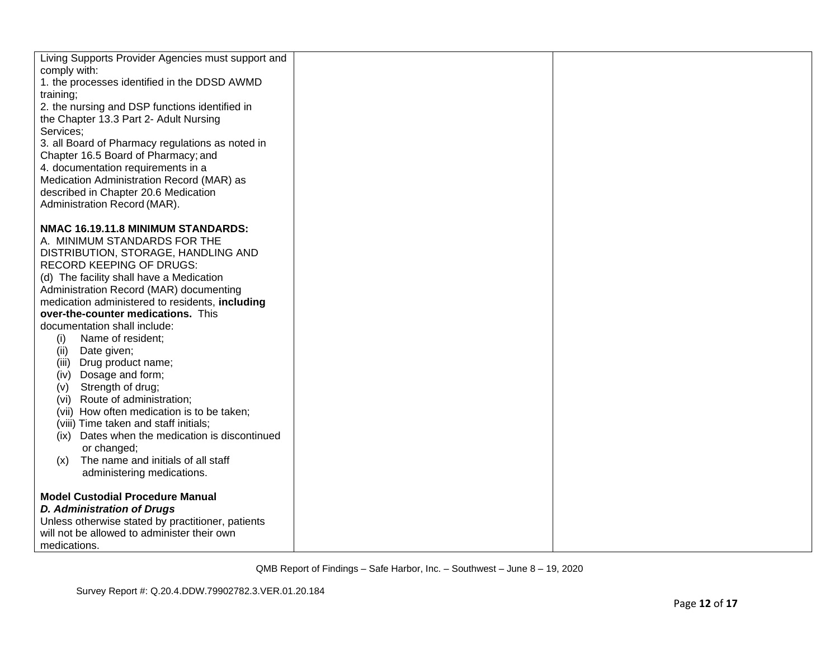| Living Supports Provider Agencies must support and<br>comply with:          |  |
|-----------------------------------------------------------------------------|--|
| 1. the processes identified in the DDSD AWMD                                |  |
| training;                                                                   |  |
| 2. the nursing and DSP functions identified in                              |  |
| the Chapter 13.3 Part 2- Adult Nursing                                      |  |
| Services;                                                                   |  |
| 3. all Board of Pharmacy regulations as noted in                            |  |
| Chapter 16.5 Board of Pharmacy; and                                         |  |
| 4. documentation requirements in a                                          |  |
| Medication Administration Record (MAR) as                                   |  |
| described in Chapter 20.6 Medication                                        |  |
| Administration Record (MAR).                                                |  |
|                                                                             |  |
| NMAC 16.19.11.8 MINIMUM STANDARDS:                                          |  |
| A. MINIMUM STANDARDS FOR THE<br>DISTRIBUTION, STORAGE, HANDLING AND         |  |
| <b>RECORD KEEPING OF DRUGS:</b>                                             |  |
| (d) The facility shall have a Medication                                    |  |
| Administration Record (MAR) documenting                                     |  |
| medication administered to residents, including                             |  |
| over-the-counter medications. This                                          |  |
| documentation shall include:                                                |  |
| Name of resident;<br>(i)                                                    |  |
| Date given;<br>(ii)                                                         |  |
| (iii) Drug product name;                                                    |  |
| (iv) Dosage and form;                                                       |  |
| Strength of drug;<br>(V)                                                    |  |
| (vi) Route of administration;<br>(vii) How often medication is to be taken; |  |
| (viii) Time taken and staff initials;                                       |  |
| (ix) Dates when the medication is discontinued                              |  |
| or changed;                                                                 |  |
| The name and initials of all staff<br>(x)                                   |  |
| administering medications.                                                  |  |
|                                                                             |  |
| <b>Model Custodial Procedure Manual</b>                                     |  |
| <b>D. Administration of Drugs</b>                                           |  |
| Unless otherwise stated by practitioner, patients                           |  |
| will not be allowed to administer their own                                 |  |
| medications.                                                                |  |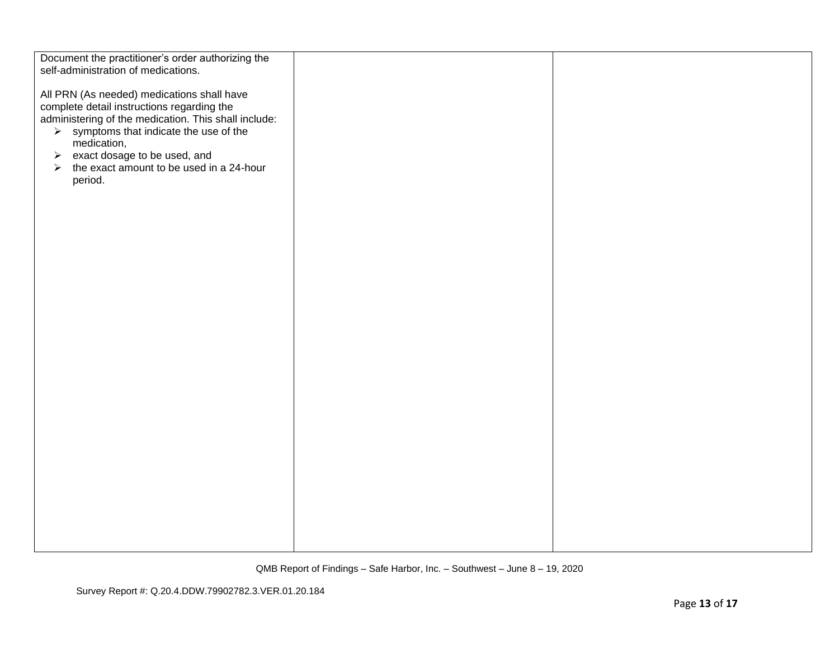| Document the practitioner's order authorizing the<br>self-administration of medications. |  |
|------------------------------------------------------------------------------------------|--|
|                                                                                          |  |
|                                                                                          |  |
| All PRN (As needed) medications shall have                                               |  |
| complete detail instructions regarding the                                               |  |
| administering of the medication. This shall include:                                     |  |
| $\triangleright$ symptoms that indicate the use of the                                   |  |
|                                                                                          |  |
| medication,                                                                              |  |
| exact dosage to be used, and<br>$\blacktriangleright$                                    |  |
| the exact amount to be used in a 24-hour<br>➤                                            |  |
| period.                                                                                  |  |
|                                                                                          |  |
|                                                                                          |  |
|                                                                                          |  |
|                                                                                          |  |
|                                                                                          |  |
|                                                                                          |  |
|                                                                                          |  |
|                                                                                          |  |
|                                                                                          |  |
|                                                                                          |  |
|                                                                                          |  |
|                                                                                          |  |
|                                                                                          |  |
|                                                                                          |  |
|                                                                                          |  |
|                                                                                          |  |
|                                                                                          |  |
|                                                                                          |  |
|                                                                                          |  |
|                                                                                          |  |
|                                                                                          |  |
|                                                                                          |  |
|                                                                                          |  |
|                                                                                          |  |
|                                                                                          |  |
|                                                                                          |  |
|                                                                                          |  |
|                                                                                          |  |
|                                                                                          |  |
|                                                                                          |  |
|                                                                                          |  |
|                                                                                          |  |
|                                                                                          |  |
|                                                                                          |  |
|                                                                                          |  |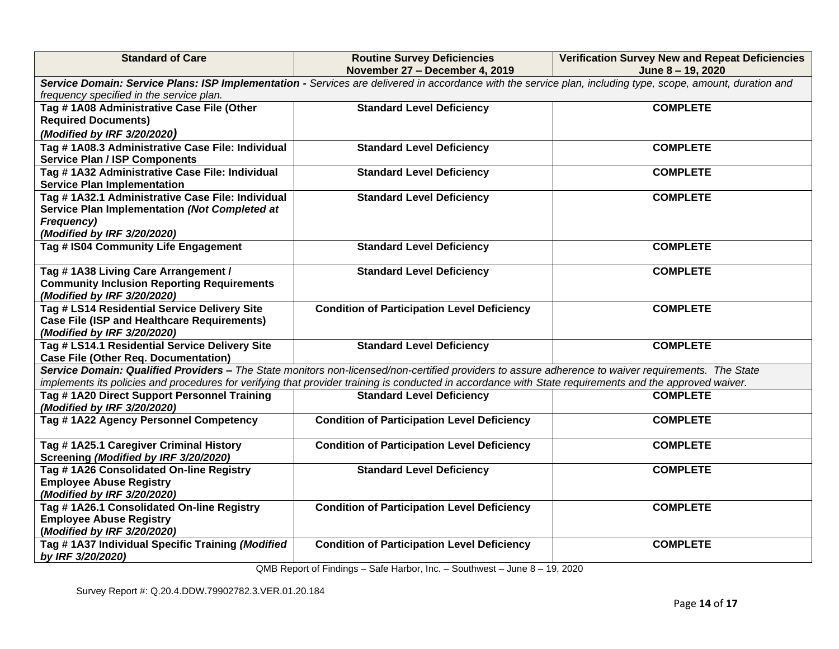| <b>Standard of Care</b>                                                                                                                                                                                                                                                                                        | <b>Routine Survey Deficiencies</b><br>November 27 - December 4, 2019 | <b>Verification Survey New and Repeat Deficiencies</b><br>June 8 - 19, 2020 |  |  |
|----------------------------------------------------------------------------------------------------------------------------------------------------------------------------------------------------------------------------------------------------------------------------------------------------------------|----------------------------------------------------------------------|-----------------------------------------------------------------------------|--|--|
| Service Domain: Service Plans: ISP Implementation - Services are delivered in accordance with the service plan, including type, scope, amount, duration and<br>frequency specified in the service plan.                                                                                                        |                                                                      |                                                                             |  |  |
| Tag #1A08 Administrative Case File (Other<br><b>Required Documents)</b><br>(Modified by IRF 3/20/2020)                                                                                                                                                                                                         | <b>Standard Level Deficiency</b>                                     | <b>COMPLETE</b>                                                             |  |  |
| Tag #1A08.3 Administrative Case File: Individual<br><b>Service Plan / ISP Components</b>                                                                                                                                                                                                                       | <b>Standard Level Deficiency</b>                                     | <b>COMPLETE</b>                                                             |  |  |
| Tag #1A32 Administrative Case File: Individual<br><b>Service Plan Implementation</b>                                                                                                                                                                                                                           | <b>Standard Level Deficiency</b>                                     | <b>COMPLETE</b>                                                             |  |  |
| Tag # 1A32.1 Administrative Case File: Individual<br>Service Plan Implementation (Not Completed at<br>Frequency)<br>(Modified by IRF 3/20/2020)                                                                                                                                                                | <b>Standard Level Deficiency</b>                                     | <b>COMPLETE</b>                                                             |  |  |
| Tag # IS04 Community Life Engagement                                                                                                                                                                                                                                                                           | <b>Standard Level Deficiency</b>                                     | <b>COMPLETE</b>                                                             |  |  |
| Tag #1A38 Living Care Arrangement /<br><b>Community Inclusion Reporting Requirements</b><br>(Modified by IRF 3/20/2020)                                                                                                                                                                                        | <b>Standard Level Deficiency</b>                                     | <b>COMPLETE</b>                                                             |  |  |
| Tag # LS14 Residential Service Delivery Site<br><b>Case File (ISP and Healthcare Requirements)</b><br>(Modified by IRF 3/20/2020)                                                                                                                                                                              | <b>Condition of Participation Level Deficiency</b>                   | <b>COMPLETE</b>                                                             |  |  |
| Tag # LS14.1 Residential Service Delivery Site<br><b>Case File (Other Req. Documentation)</b>                                                                                                                                                                                                                  | <b>Standard Level Deficiency</b>                                     | <b>COMPLETE</b>                                                             |  |  |
| Service Domain: Qualified Providers - The State monitors non-licensed/non-certified providers to assure adherence to waiver requirements. The State<br>implements its policies and procedures for verifying that provider training is conducted in accordance with State requirements and the approved waiver. |                                                                      |                                                                             |  |  |
| Tag #1A20 Direct Support Personnel Training<br>(Modified by IRF 3/20/2020)                                                                                                                                                                                                                                     | <b>Standard Level Deficiency</b>                                     | <b>COMPLETE</b>                                                             |  |  |
| Tag #1A22 Agency Personnel Competency                                                                                                                                                                                                                                                                          | <b>Condition of Participation Level Deficiency</b>                   | <b>COMPLETE</b>                                                             |  |  |
| Tag #1A25.1 Caregiver Criminal History<br>Screening (Modified by IRF 3/20/2020)                                                                                                                                                                                                                                | <b>Condition of Participation Level Deficiency</b>                   | <b>COMPLETE</b>                                                             |  |  |
| Tag #1A26 Consolidated On-line Registry<br><b>Employee Abuse Registry</b><br>(Modified by IRF 3/20/2020)                                                                                                                                                                                                       | <b>Standard Level Deficiency</b>                                     | <b>COMPLETE</b>                                                             |  |  |
| Tag #1A26.1 Consolidated On-line Registry<br><b>Employee Abuse Registry</b><br>(Modified by IRF 3/20/2020)                                                                                                                                                                                                     | <b>Condition of Participation Level Deficiency</b>                   | <b>COMPLETE</b>                                                             |  |  |
| Tag #1A37 Individual Specific Training (Modified<br>by IRF 3/20/2020)                                                                                                                                                                                                                                          | <b>Condition of Participation Level Deficiency</b>                   | <b>COMPLETE</b>                                                             |  |  |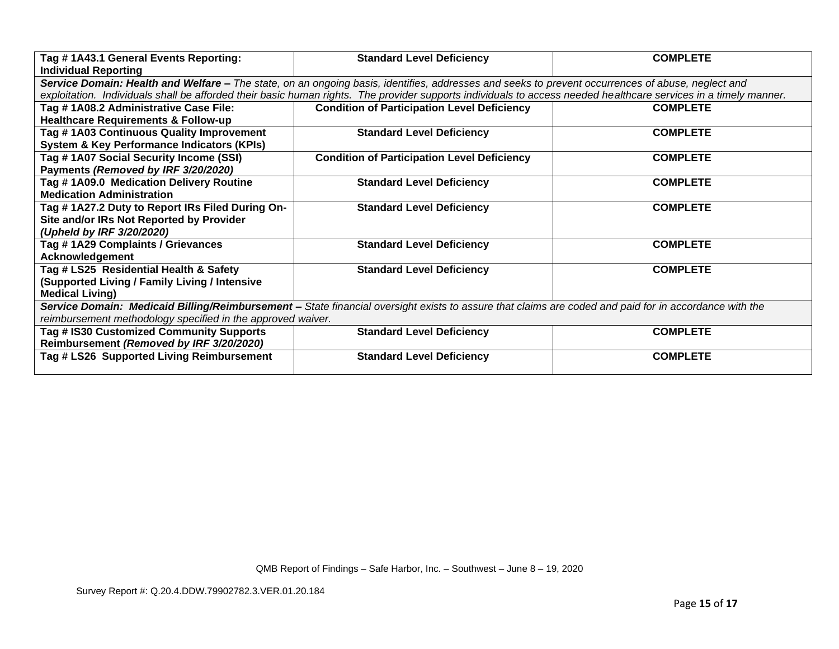| Tag # 1A43.1 General Events Reporting:                      | <b>Standard Level Deficiency</b>                                                                                                                                 | <b>COMPLETE</b> |
|-------------------------------------------------------------|------------------------------------------------------------------------------------------------------------------------------------------------------------------|-----------------|
| <b>Individual Reporting</b>                                 |                                                                                                                                                                  |                 |
|                                                             | Service Domain: Health and Welfare - The state, on an ongoing basis, identifies, addresses and seeks to prevent occurrences of abuse, neglect and                |                 |
|                                                             | exploitation. Individuals shall be afforded their basic human rights. The provider supports individuals to access needed healthcare services in a timely manner. |                 |
| Tag # 1A08.2 Administrative Case File:                      | <b>Condition of Participation Level Deficiency</b>                                                                                                               | <b>COMPLETE</b> |
| <b>Healthcare Requirements &amp; Follow-up</b>              |                                                                                                                                                                  |                 |
| Tag #1A03 Continuous Quality Improvement                    | <b>Standard Level Deficiency</b>                                                                                                                                 | <b>COMPLETE</b> |
| <b>System &amp; Key Performance Indicators (KPIs)</b>       |                                                                                                                                                                  |                 |
| Tag # 1A07 Social Security Income (SSI)                     | <b>Condition of Participation Level Deficiency</b>                                                                                                               | <b>COMPLETE</b> |
| Payments (Removed by IRF 3/20/2020)                         |                                                                                                                                                                  |                 |
| Tag #1A09.0 Medication Delivery Routine                     | <b>Standard Level Deficiency</b>                                                                                                                                 | <b>COMPLETE</b> |
| <b>Medication Administration</b>                            |                                                                                                                                                                  |                 |
| Tag #1A27.2 Duty to Report IRs Filed During On-             | <b>Standard Level Deficiency</b>                                                                                                                                 | <b>COMPLETE</b> |
| Site and/or IRs Not Reported by Provider                    |                                                                                                                                                                  |                 |
| (Upheld by IRF 3/20/2020)                                   |                                                                                                                                                                  |                 |
| Tag #1A29 Complaints / Grievances                           | <b>Standard Level Deficiency</b>                                                                                                                                 | <b>COMPLETE</b> |
| <b>Acknowledgement</b>                                      |                                                                                                                                                                  |                 |
| Tag # LS25 Residential Health & Safety                      | <b>Standard Level Deficiency</b>                                                                                                                                 | <b>COMPLETE</b> |
| (Supported Living / Family Living / Intensive               |                                                                                                                                                                  |                 |
| <b>Medical Living)</b>                                      |                                                                                                                                                                  |                 |
|                                                             | Service Domain: Medicaid Billing/Reimbursement - State financial oversight exists to assure that claims are coded and paid for in accordance with the            |                 |
| reimbursement methodology specified in the approved waiver. |                                                                                                                                                                  |                 |
| Tag # IS30 Customized Community Supports                    | <b>Standard Level Deficiency</b>                                                                                                                                 | <b>COMPLETE</b> |
| Reimbursement (Removed by IRF 3/20/2020)                    |                                                                                                                                                                  |                 |
| Tag # LS26 Supported Living Reimbursement                   | <b>Standard Level Deficiency</b>                                                                                                                                 | <b>COMPLETE</b> |
|                                                             |                                                                                                                                                                  |                 |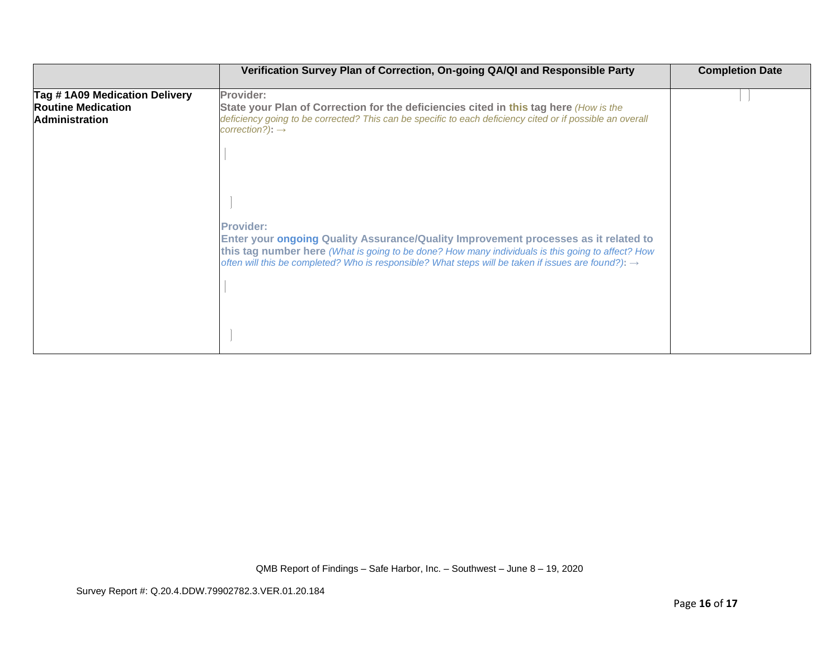|                                                                                     | Verification Survey Plan of Correction, On-going QA/QI and Responsible Party                                                                                                                                                                                                                                                    | <b>Completion Date</b> |
|-------------------------------------------------------------------------------------|---------------------------------------------------------------------------------------------------------------------------------------------------------------------------------------------------------------------------------------------------------------------------------------------------------------------------------|------------------------|
| Tag #1A09 Medication Delivery<br><b>Routine Medication</b><br><b>Administration</b> | Provider:<br>State your Plan of Correction for the deficiencies cited in this tag here (How is the<br>deficiency going to be corrected? This can be specific to each deficiency cited or if possible an overall<br>$correction$ ?): $\rightarrow$                                                                               |                        |
|                                                                                     |                                                                                                                                                                                                                                                                                                                                 |                        |
|                                                                                     | <b>Provider:</b><br>Enter your ongoing Quality Assurance/Quality Improvement processes as it related to<br>this tag number here (What is going to be done? How many individuals is this going to affect? How<br>often will this be completed? Who is responsible? What steps will be taken if issues are found?): $\rightarrow$ |                        |
|                                                                                     |                                                                                                                                                                                                                                                                                                                                 |                        |